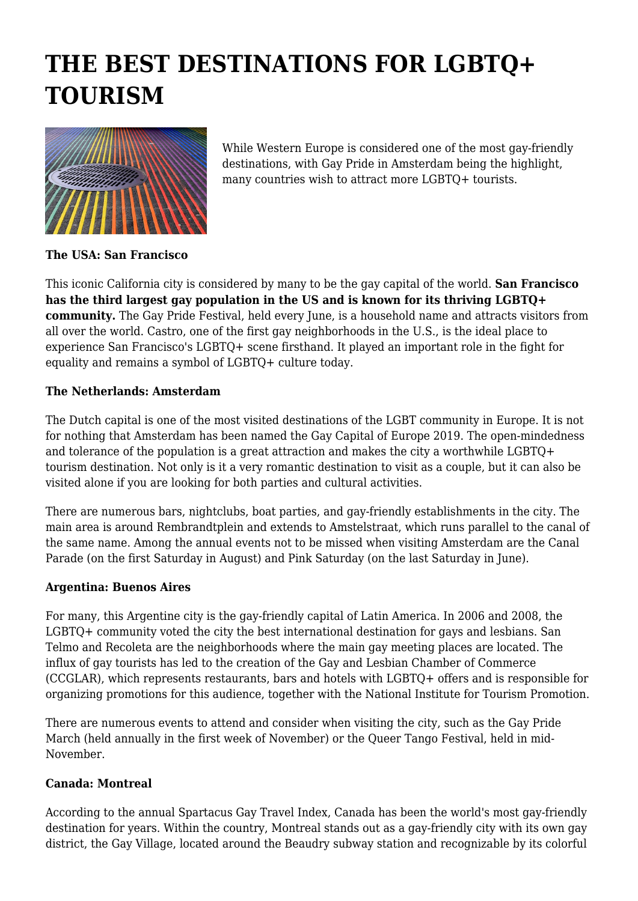## **THE BEST DESTINATIONS FOR LGBTQ+ TOURISM**



While Western Europe is considered one of the most gay-friendly destinations, with Gay Pride in Amsterdam being the highlight, many countries wish to attract more LGBTQ+ tourists.

**The USA: San Francisco**

This iconic California city is considered by many to be the gay capital of the world. **San Francisco has the third largest gay population in the US and is known for its thriving LGBTQ+ community.** The Gay Pride Festival, held every June, is a household name and attracts visitors from all over the world. Castro, one of the first gay neighborhoods in the U.S., is the ideal place to experience San Francisco's LGBTQ+ scene firsthand. It played an important role in the fight for equality and remains a symbol of LGBTQ+ culture today.

## **The Netherlands: Amsterdam**

The Dutch capital is one of the most visited destinations of the LGBT community in Europe. It is not for nothing that Amsterdam has been named the Gay Capital of Europe 2019. The open-mindedness and tolerance of the population is a great attraction and makes the city a worthwhile LGBTQ+ tourism destination. Not only is it a very romantic destination to visit as a couple, but it can also be visited alone if you are looking for both parties and cultural activities.

There are numerous bars, nightclubs, boat parties, and gay-friendly establishments in the city. The main area is around Rembrandtplein and extends to Amstelstraat, which runs parallel to the canal of the same name. Among the annual events not to be missed when visiting Amsterdam are the Canal Parade (on the first Saturday in August) and Pink Saturday (on the last Saturday in June).

## **Argentina: Buenos Aires**

For many, this Argentine city is the gay-friendly capital of Latin America. In 2006 and 2008, the LGBTQ+ community voted the city the best international destination for gays and lesbians. San Telmo and Recoleta are the neighborhoods where the main gay meeting places are located. The influx of gay tourists has led to the creation of the Gay and Lesbian Chamber of Commerce (CCGLAR), which represents restaurants, bars and hotels with LGBTQ+ offers and is responsible for organizing promotions for this audience, together with the National Institute for Tourism Promotion.

There are numerous events to attend and consider when visiting the city, such as the Gay Pride March (held annually in the first week of November) or the Queer Tango Festival, held in mid-November.

## **Canada: Montreal**

According to the annual Spartacus Gay Travel Index, Canada has been the world's most gay-friendly destination for years. Within the country, Montreal stands out as a gay-friendly city with its own gay district, the Gay Village, located around the Beaudry subway station and recognizable by its colorful